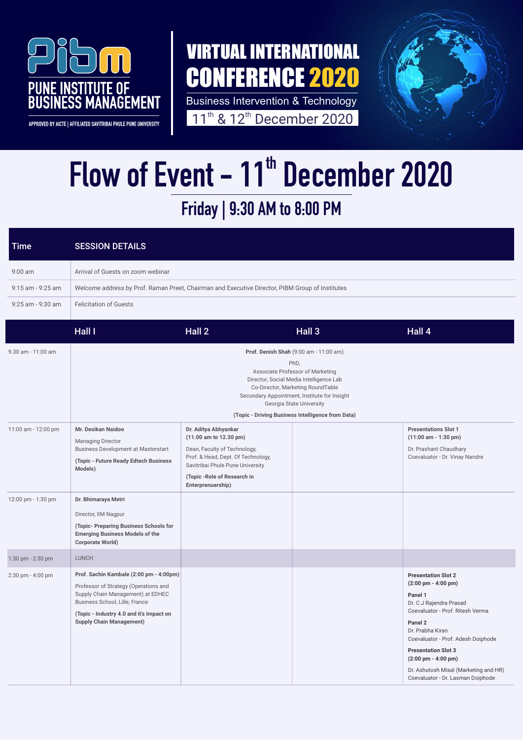

APPROVED BY AICTE | AFFILIATED SAVITRIBAI PHULE PUNE UNIVERSITY

Business Intervention & Technology 11<sup>th</sup> & 12<sup>th</sup> December 2020



## Friday | 9:30 AM to 8:00 PM Flow of Event - 11<sup>th</sup> December 2020

## VIRTUAL INTERNATIONAL CONFERENCE 2020

| <b>Time</b>         | <b>SESSION DETAILS</b>                                                                                                                                                                                                                         |                                                                                                                                                                                                               |        |                                                                                                                                                                                                                                                                                                                                                                         |  |  |
|---------------------|------------------------------------------------------------------------------------------------------------------------------------------------------------------------------------------------------------------------------------------------|---------------------------------------------------------------------------------------------------------------------------------------------------------------------------------------------------------------|--------|-------------------------------------------------------------------------------------------------------------------------------------------------------------------------------------------------------------------------------------------------------------------------------------------------------------------------------------------------------------------------|--|--|
| $9:00$ am           | Arrival of Guests on zoom webinar                                                                                                                                                                                                              |                                                                                                                                                                                                               |        |                                                                                                                                                                                                                                                                                                                                                                         |  |  |
| 9:15 am - 9:25 am   | Welcome address by Prof. Raman Preet, Chairman and Executive Director, PIBM Group of Institutes                                                                                                                                                |                                                                                                                                                                                                               |        |                                                                                                                                                                                                                                                                                                                                                                         |  |  |
| 9:25 am - 9:30 am   | <b>Felicitation of Guests</b>                                                                                                                                                                                                                  |                                                                                                                                                                                                               |        |                                                                                                                                                                                                                                                                                                                                                                         |  |  |
|                     | Hall I                                                                                                                                                                                                                                         | Hall 2                                                                                                                                                                                                        | Hall 3 | Hall 4                                                                                                                                                                                                                                                                                                                                                                  |  |  |
| 9.30 am - 11:00 am  | Prof. Denish Shah (9:00 am - 11:00 am)<br>PhD,<br>Associate Professor of Marketing<br>Director, Social Media Intelligence Lab<br>Co-Director, Marketing RoundTable<br>Secondary Appointment, Institute for Insight<br>Georgia State University |                                                                                                                                                                                                               |        |                                                                                                                                                                                                                                                                                                                                                                         |  |  |
|                     | (Topic - Driving Business Intelligence from Data)                                                                                                                                                                                              |                                                                                                                                                                                                               |        |                                                                                                                                                                                                                                                                                                                                                                         |  |  |
| 11:00 am - 12:00 pm | Mr. Desikan Naidoo<br><b>Managing Director</b><br><b>Business Development at Masterstart</b><br>(Topic - Future Ready Edtech Business<br>Models)                                                                                               | Dr. Aditya Abhyankar<br>(11.00 am to 12.30 pm)<br>Dean, Faculty of Technology,<br>Prof. & Head, Dept. Of Technology,<br>Savitribai Phule Pune University<br>(Topic - Role of Research in<br>Enterprenuership) |        | <b>Presentations Slot 1</b><br>$(11:00$ am - 1:30 pm)<br>Dr. Prashant Chaudhary<br>Coevaluator - Dr. Vinay Nandre                                                                                                                                                                                                                                                       |  |  |
| 12:00 pm - 1:30 pm  | Dr. Bhimaraya Metri<br>Director, IIM Nagpur<br>(Topic- Preparing Business Schools for<br><b>Emerging Business Models of the</b><br><b>Corporate World)</b>                                                                                     |                                                                                                                                                                                                               |        |                                                                                                                                                                                                                                                                                                                                                                         |  |  |
| 1:30 pm - 2:30 pm   | <b>LUNCH</b>                                                                                                                                                                                                                                   |                                                                                                                                                                                                               |        |                                                                                                                                                                                                                                                                                                                                                                         |  |  |
| 2:30 pm - 4:00 pm   | Prof. Sachin Kambale (2:00 pm - 4:00pm)<br>Professor of Strategy (Operations and<br>Supply Chain Management) at EDHEC<br>Business School, Lille, France<br>(Topic - Industry 4.0 and it's Impact on<br><b>Supply Chain Management)</b>         |                                                                                                                                                                                                               |        | <b>Presentation Slot 2</b><br>$(2:00 \text{ pm} - 4:00 \text{ pm})$<br>Panel 1<br>Dr. C.J Rajendra Prasad<br>Coevaluator - Prof. Ritesh Verma<br>Panel 2<br>Dr. Prabha Kiran<br>Coevaluator - Prof. Adesh Doiphode<br><b>Presentation Slot 3</b><br>$(2:00 \text{ pm} - 4:00 \text{ pm})$<br>Dr. Ashutosh Misal (Marketing and HR)<br>Coevaluator - Dr. Laxman Doiphode |  |  |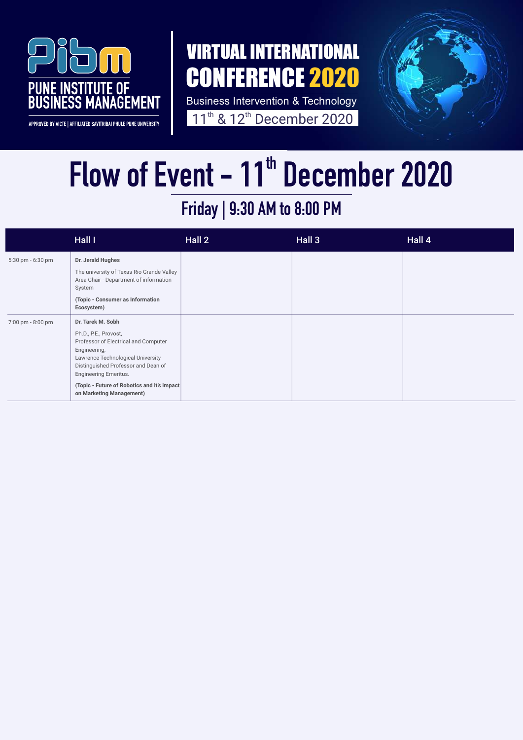

APPROVED BY AICTE | AFFILIATED SAVITRIBAI PHULE PUNE UNIVERSITY

#### Friday | 9:30 AM to 8:00 PM

Business Intervention & Technology 11<sup>th</sup> & 12<sup>th</sup> December 2020



# Flow of Event - 11<sup>th</sup> December 2020

|                   | <b>Hall I</b>                                                                                                                                                                                                  | Hall 2 | Hall 3 | Hall 4 |
|-------------------|----------------------------------------------------------------------------------------------------------------------------------------------------------------------------------------------------------------|--------|--------|--------|
| 5:30 pm - 6:30 pm | Dr. Jerald Hughes<br>The university of Texas Rio Grande Valley<br>Area Chair - Department of information<br>System                                                                                             |        |        |        |
|                   | (Topic - Consumer as Information<br>Ecosystem)                                                                                                                                                                 |        |        |        |
| 7:00 pm - 8:00 pm | Dr. Tarek M. Sobh<br>Ph.D., P.E., Provost,<br>Professor of Electrical and Computer<br>Engineering,<br>Lawrence Technological University<br>Distinguished Professor and Dean of<br><b>Engineering Emeritus.</b> |        |        |        |
|                   | (Topic - Future of Robotics and it's impact<br>on Marketing Management)                                                                                                                                        |        |        |        |

## VIRTUAL INTERNATIONAL CONFERENCE 2020